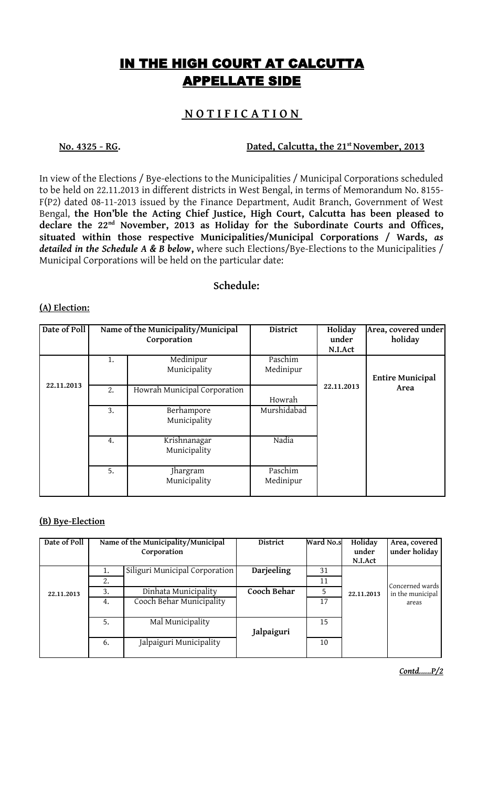# IN THE HIGH COURT AT CALCUTTA APPELLATE SIDE

## **N O T I F I C A T I O N**

**No. 4325 - RG. Dated, Calcutta, the 21st November, 2013**

In view of the Elections / Bye-elections to the Municipalities / Municipal Corporations scheduled to be held on 22.11.2013 in different districts in West Bengal, in terms of Memorandum No. 8155- F(P2) dated 08-11-2013 issued by the Finance Department, Audit Branch, Government of West Bengal, **the Hon'ble the Acting Chief Justice, High Court, Calcutta has been pleased to declare the 22nd November, 2013 as Holiday for the Subordinate Courts and Offices, situated within those respective Municipalities/Municipal Corporations / Wards,** *as detailed in the Schedule A & B below***,** where such Elections/Bye-Elections to the Municipalities / Municipal Corporations will be held on the particular date:

### **Schedule:**

#### **(A) Election:**

| Date of Poll |    | Name of the Municipality/Municipal<br>Corporation | <b>District</b>      | Holiday<br>under<br>N.I.Act | Area, covered under<br>holiday |
|--------------|----|---------------------------------------------------|----------------------|-----------------------------|--------------------------------|
|              | 1. | Medinipur<br>Municipality                         | Paschim<br>Medinipur |                             | <b>Entire Municipal</b>        |
| 22.11.2013   | 2. | Howrah Municipal Corporation                      | Howrah               | 22.11.2013                  | Area                           |
|              | 3. | Berhampore<br>Municipality                        | Murshidabad          |                             |                                |
|              | 4. | Krishnanagar<br>Municipality                      | Nadia                |                             |                                |
|              | 5. | Jhargram<br>Municipality                          | Paschim<br>Medinipur |                             |                                |

### **(B) Bye-Election**

| Date of Poll | Name of the Municipality/Municipal<br>Corporation |                                | District    | Ward No.s | Holiday<br>under | Area, covered<br>under holiday |
|--------------|---------------------------------------------------|--------------------------------|-------------|-----------|------------------|--------------------------------|
|              |                                                   |                                |             |           | N.I.Act          |                                |
|              | 1.                                                | Siliguri Municipal Corporation | Darjeeling  | 31        |                  |                                |
| 22.11.2013   | 2.                                                |                                |             | 11        |                  | Concerned wards                |
|              | 3.                                                | Dinhata Municipality           | Cooch Behar | 5         | 22.11.2013       | in the municipal               |
|              | 4.                                                | Cooch Behar Municipality       |             | 17        |                  | areas                          |
|              |                                                   |                                |             |           |                  |                                |
|              | 5.                                                | Mal Municipality               |             | 15        |                  |                                |
|              |                                                   |                                | Jalpaiguri  |           |                  |                                |
|              | 6.                                                | Jalpaiguri Municipality        |             | 10        |                  |                                |
|              |                                                   |                                |             |           |                  |                                |

*Contd......P/2*